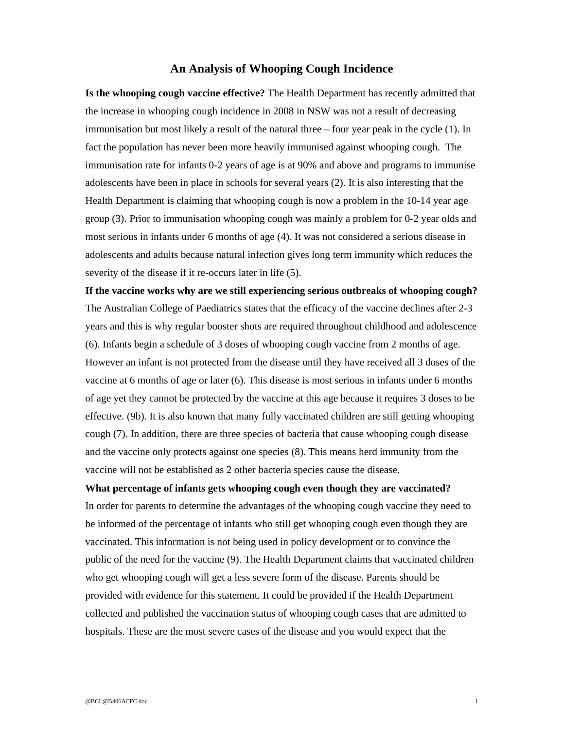## **An Analysis of Whooping Cough Incidence**

**Is the whooping cough vaccine effective?** The Health Department has recently admitted that the increase in whooping cough incidence in 2008 in NSW was not a result of decreasing immunisation but most likely a result of the natural three – four year peak in the cycle (1). In fact the population has never been more heavily immunised against whooping cough. The immunisation rate for infants 0-2 years of age is at 90% and above and programs to immunise adolescents have been in place in schools for several years (2). It is also interesting that the Health Department is claiming that whooping cough is now a problem in the 10-14 year age group (3). Prior to immunisation whooping cough was mainly a problem for 0-2 year olds and most serious in infants under 6 months of age (4). It was not considered a serious disease in adolescents and adults because natural infection gives long term immunity which reduces the severity of the disease if it re-occurs later in life (5).

**If the vaccine works why are we still experiencing serious outbreaks of whooping cough?** The Australian College of Paediatrics states that the efficacy of the vaccine declines after 2-3 years and this is why regular booster shots are required throughout childhood and adolescence (6). Infants begin a schedule of 3 doses of whooping cough vaccine from 2 months of age. However an infant is not protected from the disease until they have received all 3 doses of the vaccine at 6 months of age or later (6). This disease is most serious in infants under 6 months of age yet they cannot be protected by the vaccine at this age because it requires 3 doses to be effective. (9b). It is also known that many fully vaccinated children are still getting whooping cough (7). In addition, there are three species of bacteria that cause whooping cough disease and the vaccine only protects against one species (8). This means herd immunity from the vaccine will not be established as 2 other bacteria species cause the disease.

**What percentage of infants gets whooping cough even though they are vaccinated?** In order for parents to determine the advantages of the whooping cough vaccine they need to be informed of the percentage of infants who still get whooping cough even though they are vaccinated. This information is not being used in policy development or to convince the public of the need for the vaccine (9). The Health Department claims that vaccinated children who get whooping cough will get a less severe form of the disease. Parents should be provided with evidence for this statement. It could be provided if the Health Department collected and published the vaccination status of whooping cough cases that are admitted to hospitals. These are the most severe cases of the disease and you would expect that the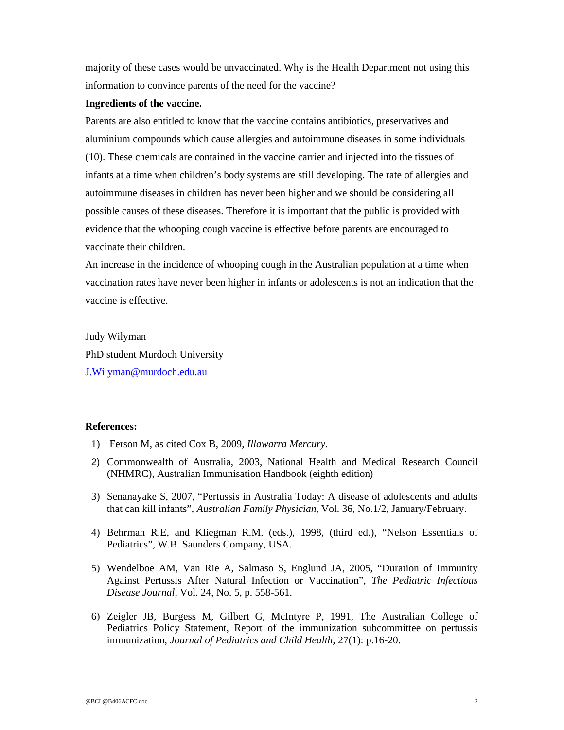majority of these cases would be unvaccinated. Why is the Health Department not using this information to convince parents of the need for the vaccine?

## **Ingredients of the vaccine.**

Parents are also entitled to know that the vaccine contains antibiotics, preservatives and aluminium compounds which cause allergies and autoimmune diseases in some individuals (10). These chemicals are contained in the vaccine carrier and injected into the tissues of infants at a time when children's body systems are still developing. The rate of allergies and autoimmune diseases in children has never been higher and we should be considering all possible causes of these diseases. Therefore it is important that the public is provided with evidence that the whooping cough vaccine is effective before parents are encouraged to vaccinate their children.

An increase in the incidence of whooping cough in the Australian population at a time when vaccination rates have never been higher in infants or adolescents is not an indication that the vaccine is effective.

Judy Wilyman PhD student Murdoch University J.Wilyman@murdoch.edu.au

## **References:**

- 1) Ferson M, as cited Cox B, 2009, *Illawarra Mercury.*
- 2) Commonwealth of Australia, 2003, National Health and Medical Research Council (NHMRC), Australian Immunisation Handbook (eighth edition)
- 3) Senanayake S, 2007, "Pertussis in Australia Today: A disease of adolescents and adults that can kill infants", *Australian Family Physician*, Vol. 36, No.1/2, January/February.
- 4) Behrman R.E, and Kliegman R.M. (eds.), 1998, (third ed.), "Nelson Essentials of Pediatrics", W.B. Saunders Company, USA.
- 5) Wendelboe AM, Van Rie A, Salmaso S, Englund JA, 2005, "Duration of Immunity Against Pertussis After Natural Infection or Vaccination", *The Pediatric Infectious Disease Journal*, Vol. 24, No. 5, p. 558-561.
- 6) Zeigler JB, Burgess M, Gilbert G, McIntyre P, 1991, The Australian College of Pediatrics Policy Statement, Report of the immunization subcommittee on pertussis immunization, *Journal of Pediatrics and Child Health,* 27(1): p.16-20.